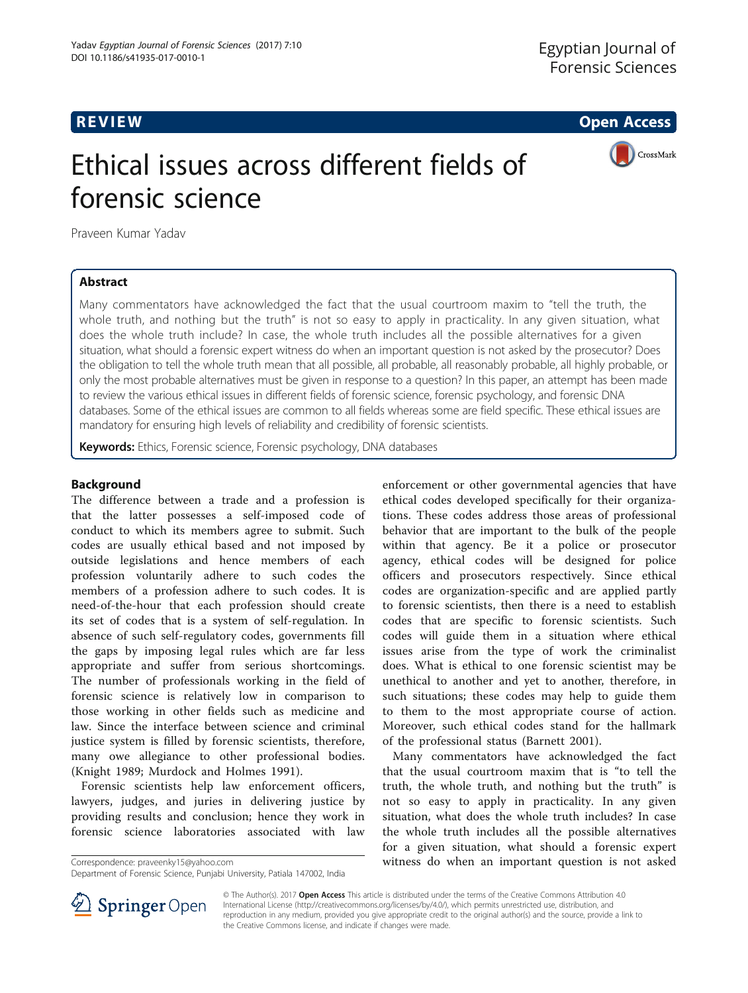**REVIEW CONSTRUCTION CONSTRUCTION CONSTRUCTS** 

CrossMark

# Ethical issues across different fields of forensic science

Praveen Kumar Yadav

# Abstract

Many commentators have acknowledged the fact that the usual courtroom maxim to "tell the truth, the whole truth, and nothing but the truth" is not so easy to apply in practicality. In any given situation, what does the whole truth include? In case, the whole truth includes all the possible alternatives for a given situation, what should a forensic expert witness do when an important question is not asked by the prosecutor? Does the obligation to tell the whole truth mean that all possible, all probable, all reasonably probable, all highly probable, or only the most probable alternatives must be given in response to a question? In this paper, an attempt has been made to review the various ethical issues in different fields of forensic science, forensic psychology, and forensic DNA databases. Some of the ethical issues are common to all fields whereas some are field specific. These ethical issues are mandatory for ensuring high levels of reliability and credibility of forensic scientists.

Keywords: Ethics, Forensic science, Forensic psychology, DNA databases

# Background

The difference between a trade and a profession is that the latter possesses a self-imposed code of conduct to which its members agree to submit. Such codes are usually ethical based and not imposed by outside legislations and hence members of each profession voluntarily adhere to such codes the members of a profession adhere to such codes. It is need-of-the-hour that each profession should create its set of codes that is a system of self-regulation. In absence of such self-regulatory codes, governments fill the gaps by imposing legal rules which are far less appropriate and suffer from serious shortcomings. The number of professionals working in the field of forensic science is relatively low in comparison to those working in other fields such as medicine and law. Since the interface between science and criminal justice system is filled by forensic scientists, therefore, many owe allegiance to other professional bodies. (Knight [1989](#page-5-0); Murdock and Holmes [1991\)](#page-5-0).

Forensic scientists help law enforcement officers, lawyers, judges, and juries in delivering justice by providing results and conclusion; hence they work in forensic science laboratories associated with law

enforcement or other governmental agencies that have ethical codes developed specifically for their organizations. These codes address those areas of professional behavior that are important to the bulk of the people within that agency. Be it a police or prosecutor agency, ethical codes will be designed for police officers and prosecutors respectively. Since ethical codes are organization-specific and are applied partly to forensic scientists, then there is a need to establish codes that are specific to forensic scientists. Such codes will guide them in a situation where ethical issues arise from the type of work the criminalist does. What is ethical to one forensic scientist may be unethical to another and yet to another, therefore, in such situations; these codes may help to guide them to them to the most appropriate course of action. Moreover, such ethical codes stand for the hallmark of the professional status (Barnett [2001\)](#page-5-0).

Many commentators have acknowledged the fact that the usual courtroom maxim that is "to tell the truth, the whole truth, and nothing but the truth" is not so easy to apply in practicality. In any given situation, what does the whole truth includes? In case the whole truth includes all the possible alternatives for a given situation, what should a forensic expert Correspondence: [praveenky15@yahoo.com](mailto:praveenky15@yahoo.com) witness do when an important question is not asked



© The Author(s). 2017 **Open Access** This article is distributed under the terms of the Creative Commons Attribution 4.0 International License ([http://creativecommons.org/licenses/by/4.0/\)](http://creativecommons.org/licenses/by/4.0/), which permits unrestricted use, distribution, and reproduction in any medium, provided you give appropriate credit to the original author(s) and the source, provide a link to the Creative Commons license, and indicate if changes were made.

Department of Forensic Science, Punjabi University, Patiala 147002, India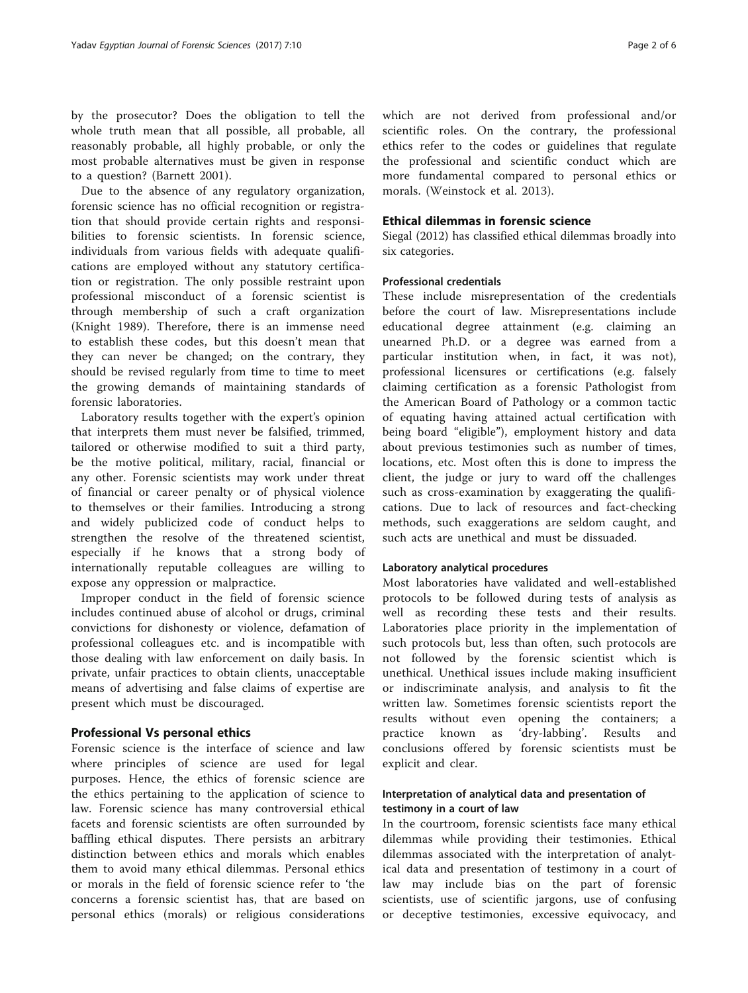by the prosecutor? Does the obligation to tell the whole truth mean that all possible, all probable, all reasonably probable, all highly probable, or only the most probable alternatives must be given in response to a question? (Barnett [2001\)](#page-5-0).

Due to the absence of any regulatory organization, forensic science has no official recognition or registration that should provide certain rights and responsibilities to forensic scientists. In forensic science, individuals from various fields with adequate qualifications are employed without any statutory certification or registration. The only possible restraint upon professional misconduct of a forensic scientist is through membership of such a craft organization (Knight [1989\)](#page-5-0). Therefore, there is an immense need to establish these codes, but this doesn't mean that they can never be changed; on the contrary, they should be revised regularly from time to time to meet the growing demands of maintaining standards of forensic laboratories.

Laboratory results together with the expert's opinion that interprets them must never be falsified, trimmed, tailored or otherwise modified to suit a third party, be the motive political, military, racial, financial or any other. Forensic scientists may work under threat of financial or career penalty or of physical violence to themselves or their families. Introducing a strong and widely publicized code of conduct helps to strengthen the resolve of the threatened scientist, especially if he knows that a strong body of internationally reputable colleagues are willing to expose any oppression or malpractice.

Improper conduct in the field of forensic science includes continued abuse of alcohol or drugs, criminal convictions for dishonesty or violence, defamation of professional colleagues etc. and is incompatible with those dealing with law enforcement on daily basis. In private, unfair practices to obtain clients, unacceptable means of advertising and false claims of expertise are present which must be discouraged.

# Professional Vs personal ethics

Forensic science is the interface of science and law where principles of science are used for legal purposes. Hence, the ethics of forensic science are the ethics pertaining to the application of science to law. Forensic science has many controversial ethical facets and forensic scientists are often surrounded by baffling ethical disputes. There persists an arbitrary distinction between ethics and morals which enables them to avoid many ethical dilemmas. Personal ethics or morals in the field of forensic science refer to 'the concerns a forensic scientist has, that are based on personal ethics (morals) or religious considerations

which are not derived from professional and/or scientific roles. On the contrary, the professional ethics refer to the codes or guidelines that regulate the professional and scientific conduct which are more fundamental compared to personal ethics or morals. (Weinstock et al. [2013\)](#page-5-0).

# Ethical dilemmas in forensic science

Siegal ([2012](#page-5-0)) has classified ethical dilemmas broadly into six categories.

# Professional credentials

These include misrepresentation of the credentials before the court of law. Misrepresentations include educational degree attainment (e.g. claiming an unearned Ph.D. or a degree was earned from a particular institution when, in fact, it was not), professional licensures or certifications (e.g. falsely claiming certification as a forensic Pathologist from the American Board of Pathology or a common tactic of equating having attained actual certification with being board "eligible"), employment history and data about previous testimonies such as number of times, locations, etc. Most often this is done to impress the client, the judge or jury to ward off the challenges such as cross-examination by exaggerating the qualifications. Due to lack of resources and fact-checking methods, such exaggerations are seldom caught, and such acts are unethical and must be dissuaded.

# Laboratory analytical procedures

Most laboratories have validated and well-established protocols to be followed during tests of analysis as well as recording these tests and their results. Laboratories place priority in the implementation of such protocols but, less than often, such protocols are not followed by the forensic scientist which is unethical. Unethical issues include making insufficient or indiscriminate analysis, and analysis to fit the written law. Sometimes forensic scientists report the results without even opening the containers; a practice known as 'dry-labbing'. Results and conclusions offered by forensic scientists must be explicit and clear.

# Interpretation of analytical data and presentation of testimony in a court of law

In the courtroom, forensic scientists face many ethical dilemmas while providing their testimonies. Ethical dilemmas associated with the interpretation of analytical data and presentation of testimony in a court of law may include bias on the part of forensic scientists, use of scientific jargons, use of confusing or deceptive testimonies, excessive equivocacy, and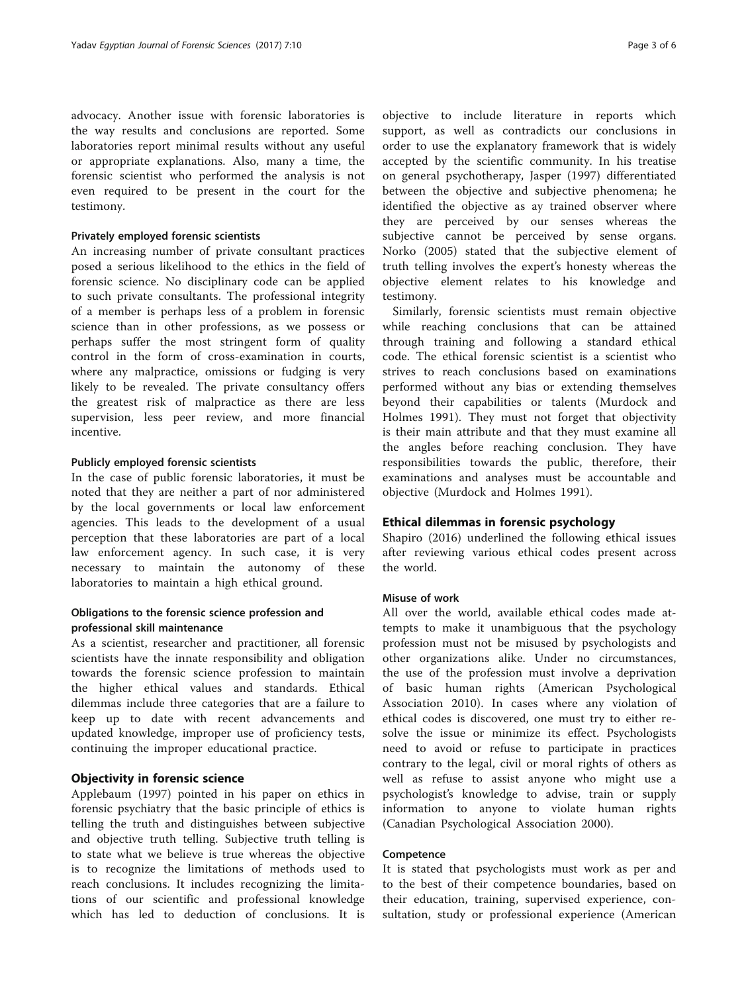advocacy. Another issue with forensic laboratories is the way results and conclusions are reported. Some laboratories report minimal results without any useful or appropriate explanations. Also, many a time, the forensic scientist who performed the analysis is not even required to be present in the court for the testimony.

#### Privately employed forensic scientists

An increasing number of private consultant practices posed a serious likelihood to the ethics in the field of forensic science. No disciplinary code can be applied to such private consultants. The professional integrity of a member is perhaps less of a problem in forensic science than in other professions, as we possess or perhaps suffer the most stringent form of quality control in the form of cross-examination in courts, where any malpractice, omissions or fudging is very likely to be revealed. The private consultancy offers the greatest risk of malpractice as there are less supervision, less peer review, and more financial incentive.

#### Publicly employed forensic scientists

In the case of public forensic laboratories, it must be noted that they are neither a part of nor administered by the local governments or local law enforcement agencies. This leads to the development of a usual perception that these laboratories are part of a local law enforcement agency. In such case, it is very necessary to maintain the autonomy of these laboratories to maintain a high ethical ground.

# Obligations to the forensic science profession and professional skill maintenance

As a scientist, researcher and practitioner, all forensic scientists have the innate responsibility and obligation towards the forensic science profession to maintain the higher ethical values and standards. Ethical dilemmas include three categories that are a failure to keep up to date with recent advancements and updated knowledge, improper use of proficiency tests, continuing the improper educational practice.

# Objectivity in forensic science

Applebaum [\(1997](#page-5-0)) pointed in his paper on ethics in forensic psychiatry that the basic principle of ethics is telling the truth and distinguishes between subjective and objective truth telling. Subjective truth telling is to state what we believe is true whereas the objective is to recognize the limitations of methods used to reach conclusions. It includes recognizing the limitations of our scientific and professional knowledge which has led to deduction of conclusions. It is objective to include literature in reports which support, as well as contradicts our conclusions in order to use the explanatory framework that is widely accepted by the scientific community. In his treatise on general psychotherapy, Jasper ([1997](#page-5-0)) differentiated between the objective and subjective phenomena; he identified the objective as ay trained observer where they are perceived by our senses whereas the subjective cannot be perceived by sense organs. Norko ([2005](#page-5-0)) stated that the subjective element of truth telling involves the expert's honesty whereas the objective element relates to his knowledge and testimony.

Similarly, forensic scientists must remain objective while reaching conclusions that can be attained through training and following a standard ethical code. The ethical forensic scientist is a scientist who strives to reach conclusions based on examinations performed without any bias or extending themselves beyond their capabilities or talents (Murdock and Holmes [1991](#page-5-0)). They must not forget that objectivity is their main attribute and that they must examine all the angles before reaching conclusion. They have responsibilities towards the public, therefore, their examinations and analyses must be accountable and objective (Murdock and Holmes [1991](#page-5-0)).

# Ethical dilemmas in forensic psychology

Shapiro [\(2016](#page-5-0)) underlined the following ethical issues after reviewing various ethical codes present across the world.

# Misuse of work

All over the world, available ethical codes made attempts to make it unambiguous that the psychology profession must not be misused by psychologists and other organizations alike. Under no circumstances, the use of the profession must involve a deprivation of basic human rights (American Psychological Association [2010\)](#page-5-0). In cases where any violation of ethical codes is discovered, one must try to either resolve the issue or minimize its effect. Psychologists need to avoid or refuse to participate in practices contrary to the legal, civil or moral rights of others as well as refuse to assist anyone who might use a psychologist's knowledge to advise, train or supply information to anyone to violate human rights (Canadian Psychological Association [2000](#page-5-0)).

# Competence

It is stated that psychologists must work as per and to the best of their competence boundaries, based on their education, training, supervised experience, consultation, study or professional experience (American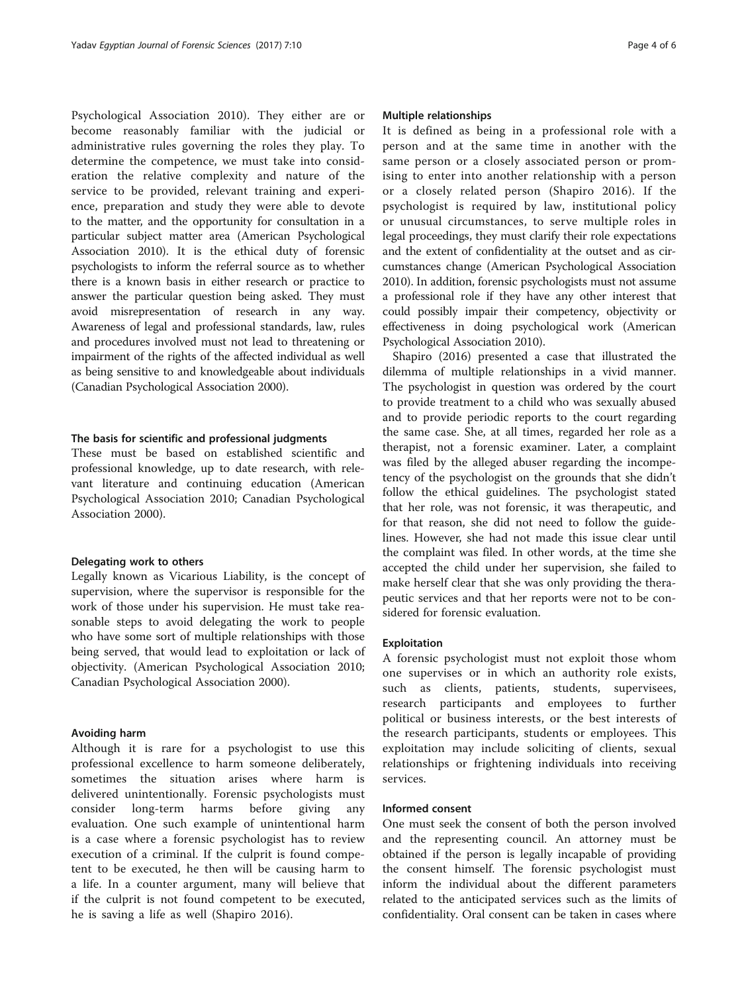Psychological Association [2010](#page-5-0)). They either are or become reasonably familiar with the judicial or administrative rules governing the roles they play. To determine the competence, we must take into consideration the relative complexity and nature of the service to be provided, relevant training and experience, preparation and study they were able to devote to the matter, and the opportunity for consultation in a particular subject matter area (American Psychological Association [2010](#page-5-0)). It is the ethical duty of forensic psychologists to inform the referral source as to whether there is a known basis in either research or practice to answer the particular question being asked. They must avoid misrepresentation of research in any way. Awareness of legal and professional standards, law, rules and procedures involved must not lead to threatening or impairment of the rights of the affected individual as well as being sensitive to and knowledgeable about individuals (Canadian Psychological Association [2000\)](#page-5-0).

#### The basis for scientific and professional judgments

These must be based on established scientific and professional knowledge, up to date research, with relevant literature and continuing education (American Psychological Association [2010;](#page-5-0) Canadian Psychological Association [2000\)](#page-5-0).

#### Delegating work to others

Legally known as Vicarious Liability, is the concept of supervision, where the supervisor is responsible for the work of those under his supervision. He must take reasonable steps to avoid delegating the work to people who have some sort of multiple relationships with those being served, that would lead to exploitation or lack of objectivity. (American Psychological Association [2010](#page-5-0); Canadian Psychological Association [2000\)](#page-5-0).

# Avoiding harm

Although it is rare for a psychologist to use this professional excellence to harm someone deliberately, sometimes the situation arises where harm is delivered unintentionally. Forensic psychologists must consider long-term harms before giving any evaluation. One such example of unintentional harm is a case where a forensic psychologist has to review execution of a criminal. If the culprit is found competent to be executed, he then will be causing harm to a life. In a counter argument, many will believe that if the culprit is not found competent to be executed, he is saving a life as well (Shapiro [2016\)](#page-5-0).

#### Multiple relationships

It is defined as being in a professional role with a person and at the same time in another with the same person or a closely associated person or promising to enter into another relationship with a person or a closely related person (Shapiro [2016](#page-5-0)). If the psychologist is required by law, institutional policy or unusual circumstances, to serve multiple roles in legal proceedings, they must clarify their role expectations and the extent of confidentiality at the outset and as circumstances change (American Psychological Association [2010](#page-5-0)). In addition, forensic psychologists must not assume a professional role if they have any other interest that could possibly impair their competency, objectivity or effectiveness in doing psychological work (American Psychological Association [2010](#page-5-0)).

Shapiro ([2016](#page-5-0)) presented a case that illustrated the dilemma of multiple relationships in a vivid manner. The psychologist in question was ordered by the court to provide treatment to a child who was sexually abused and to provide periodic reports to the court regarding the same case. She, at all times, regarded her role as a therapist, not a forensic examiner. Later, a complaint was filed by the alleged abuser regarding the incompetency of the psychologist on the grounds that she didn't follow the ethical guidelines. The psychologist stated that her role, was not forensic, it was therapeutic, and for that reason, she did not need to follow the guidelines. However, she had not made this issue clear until the complaint was filed. In other words, at the time she accepted the child under her supervision, she failed to make herself clear that she was only providing the therapeutic services and that her reports were not to be considered for forensic evaluation.

# Exploitation

A forensic psychologist must not exploit those whom one supervises or in which an authority role exists, such as clients, patients, students, supervisees, research participants and employees to further political or business interests, or the best interests of the research participants, students or employees. This exploitation may include soliciting of clients, sexual relationships or frightening individuals into receiving services.

# Informed consent

One must seek the consent of both the person involved and the representing council. An attorney must be obtained if the person is legally incapable of providing the consent himself. The forensic psychologist must inform the individual about the different parameters related to the anticipated services such as the limits of confidentiality. Oral consent can be taken in cases where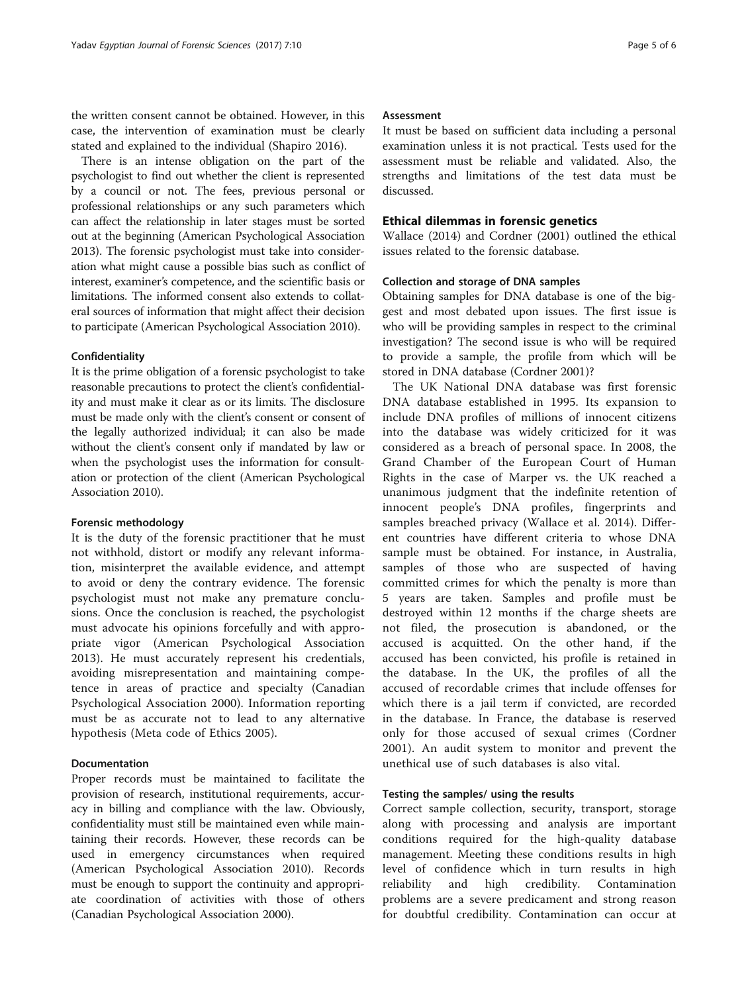the written consent cannot be obtained. However, in this case, the intervention of examination must be clearly stated and explained to the individual (Shapiro [2016\)](#page-5-0).

There is an intense obligation on the part of the psychologist to find out whether the client is represented by a council or not. The fees, previous personal or professional relationships or any such parameters which can affect the relationship in later stages must be sorted out at the beginning (American Psychological Association [2013\)](#page-5-0). The forensic psychologist must take into consideration what might cause a possible bias such as conflict of interest, examiner's competence, and the scientific basis or limitations. The informed consent also extends to collateral sources of information that might affect their decision to participate (American Psychological Association [2010\)](#page-5-0).

# Confidentiality

It is the prime obligation of a forensic psychologist to take reasonable precautions to protect the client's confidentiality and must make it clear as or its limits. The disclosure must be made only with the client's consent or consent of the legally authorized individual; it can also be made without the client's consent only if mandated by law or when the psychologist uses the information for consultation or protection of the client (American Psychological Association [2010\)](#page-5-0).

# Forensic methodology

It is the duty of the forensic practitioner that he must not withhold, distort or modify any relevant information, misinterpret the available evidence, and attempt to avoid or deny the contrary evidence. The forensic psychologist must not make any premature conclusions. Once the conclusion is reached, the psychologist must advocate his opinions forcefully and with appropriate vigor (American Psychological Association [2013\)](#page-5-0). He must accurately represent his credentials, avoiding misrepresentation and maintaining competence in areas of practice and specialty (Canadian Psychological Association [2000\)](#page-5-0). Information reporting must be as accurate not to lead to any alternative hypothesis (Meta code of Ethics [2005](#page-5-0)).

# Documentation

Proper records must be maintained to facilitate the provision of research, institutional requirements, accuracy in billing and compliance with the law. Obviously, confidentiality must still be maintained even while maintaining their records. However, these records can be used in emergency circumstances when required (American Psychological Association [2010\)](#page-5-0). Records must be enough to support the continuity and appropriate coordination of activities with those of others (Canadian Psychological Association [2000\)](#page-5-0).

# **Assessment**

It must be based on sufficient data including a personal examination unless it is not practical. Tests used for the assessment must be reliable and validated. Also, the strengths and limitations of the test data must be discussed.

# Ethical dilemmas in forensic genetics

Wallace [\(2014\)](#page-5-0) and Cordner ([2001\)](#page-5-0) outlined the ethical issues related to the forensic database.

# Collection and storage of DNA samples

Obtaining samples for DNA database is one of the biggest and most debated upon issues. The first issue is who will be providing samples in respect to the criminal investigation? The second issue is who will be required to provide a sample, the profile from which will be stored in DNA database (Cordner [2001](#page-5-0))?

The UK National DNA database was first forensic DNA database established in 1995. Its expansion to include DNA profiles of millions of innocent citizens into the database was widely criticized for it was considered as a breach of personal space. In 2008, the Grand Chamber of the European Court of Human Rights in the case of Marper vs. the UK reached a unanimous judgment that the indefinite retention of innocent people's DNA profiles, fingerprints and samples breached privacy (Wallace et al. [2014\)](#page-5-0). Different countries have different criteria to whose DNA sample must be obtained. For instance, in Australia, samples of those who are suspected of having committed crimes for which the penalty is more than 5 years are taken. Samples and profile must be destroyed within 12 months if the charge sheets are not filed, the prosecution is abandoned, or the accused is acquitted. On the other hand, if the accused has been convicted, his profile is retained in the database. In the UK, the profiles of all the accused of recordable crimes that include offenses for which there is a jail term if convicted, are recorded in the database. In France, the database is reserved only for those accused of sexual crimes (Cordner [2001\)](#page-5-0). An audit system to monitor and prevent the unethical use of such databases is also vital.

# Testing the samples/ using the results

Correct sample collection, security, transport, storage along with processing and analysis are important conditions required for the high-quality database management. Meeting these conditions results in high level of confidence which in turn results in high reliability and high credibility. Contamination problems are a severe predicament and strong reason for doubtful credibility. Contamination can occur at